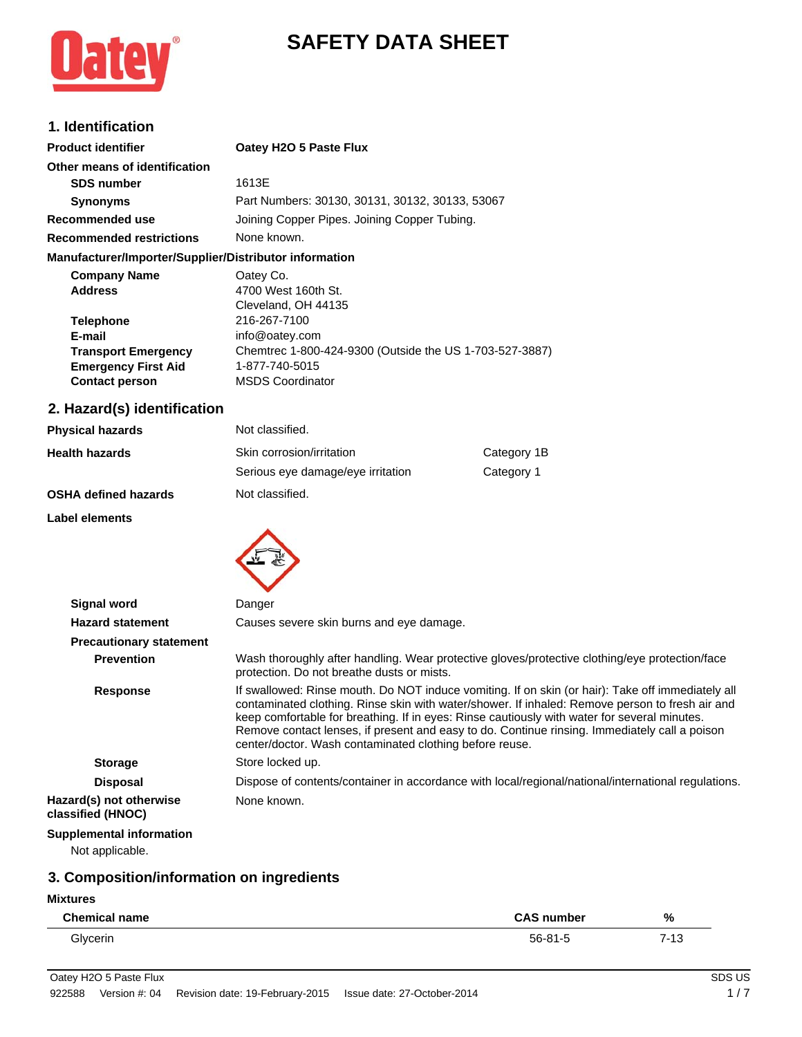

# **SAFETY DATA SHEET**

### **1. Identification**

| <b>Product identifier</b>                              | Oatey H2O 5 Paste Flux                          |  |
|--------------------------------------------------------|-------------------------------------------------|--|
| Other means of identification                          |                                                 |  |
| <b>SDS number</b>                                      | 1613E                                           |  |
| <b>Synonyms</b>                                        | Part Numbers: 30130, 30131, 30132, 30133, 53067 |  |
| Recommended use                                        | Joining Copper Pipes. Joining Copper Tubing.    |  |
| <b>Recommended restrictions</b>                        | None known.                                     |  |
| Manufacturer/Importer/Supplier/Distributor information |                                                 |  |
| Campano Hama                                           | O <sub>0</sub>                                  |  |

| Oatey Co.                                               |
|---------------------------------------------------------|
| 4700 West 160th St.                                     |
| Cleveland, OH 44135                                     |
| 216-267-7100                                            |
| info@oatey.com                                          |
| Chemtrec 1-800-424-9300 (Outside the US 1-703-527-3887) |
| 1-877-740-5015                                          |
| <b>MSDS Coordinator</b>                                 |
|                                                         |

### **2. Hazard(s) identification**

| <b>Physical hazards</b>     | Not classified.                   |             |
|-----------------------------|-----------------------------------|-------------|
| <b>Health hazards</b>       | Skin corrosion/irritation         | Category 1B |
|                             | Serious eye damage/eye irritation | Category 1  |
| <b>OSHA defined hazards</b> | Not classified.                   |             |

#### **Label elements**



| <b>Signal word</b>                                 | Danger                                                                                                                                                                                                                                                                                                                                                                                                                                                           |
|----------------------------------------------------|------------------------------------------------------------------------------------------------------------------------------------------------------------------------------------------------------------------------------------------------------------------------------------------------------------------------------------------------------------------------------------------------------------------------------------------------------------------|
| <b>Hazard statement</b>                            | Causes severe skin burns and eye damage.                                                                                                                                                                                                                                                                                                                                                                                                                         |
| <b>Precautionary statement</b>                     |                                                                                                                                                                                                                                                                                                                                                                                                                                                                  |
| <b>Prevention</b>                                  | Wash thoroughly after handling. Wear protective gloves/protective clothing/eye protection/face<br>protection. Do not breathe dusts or mists.                                                                                                                                                                                                                                                                                                                     |
| <b>Response</b>                                    | If swallowed: Rinse mouth. Do NOT induce vomiting. If on skin (or hair): Take off immediately all<br>contaminated clothing. Rinse skin with water/shower. If inhaled: Remove person to fresh air and<br>keep comfortable for breathing. If in eyes: Rinse cautiously with water for several minutes.<br>Remove contact lenses, if present and easy to do. Continue rinsing. Immediately call a poison<br>center/doctor. Wash contaminated clothing before reuse. |
| <b>Storage</b>                                     | Store locked up.                                                                                                                                                                                                                                                                                                                                                                                                                                                 |
| <b>Disposal</b>                                    | Dispose of contents/container in accordance with local/regional/national/international regulations.                                                                                                                                                                                                                                                                                                                                                              |
| Hazard(s) not otherwise<br>classified (HNOC)       | None known.                                                                                                                                                                                                                                                                                                                                                                                                                                                      |
| <b>Supplemental information</b><br>Not applicable. |                                                                                                                                                                                                                                                                                                                                                                                                                                                                  |

### **3. Composition/information on ingredients**

#### **Mixtures**

| <b>Chemical name</b> | <b>CAS number</b> | %    |
|----------------------|-------------------|------|
| Glycerin             | $56 - 81 - 5$     | 7-13 |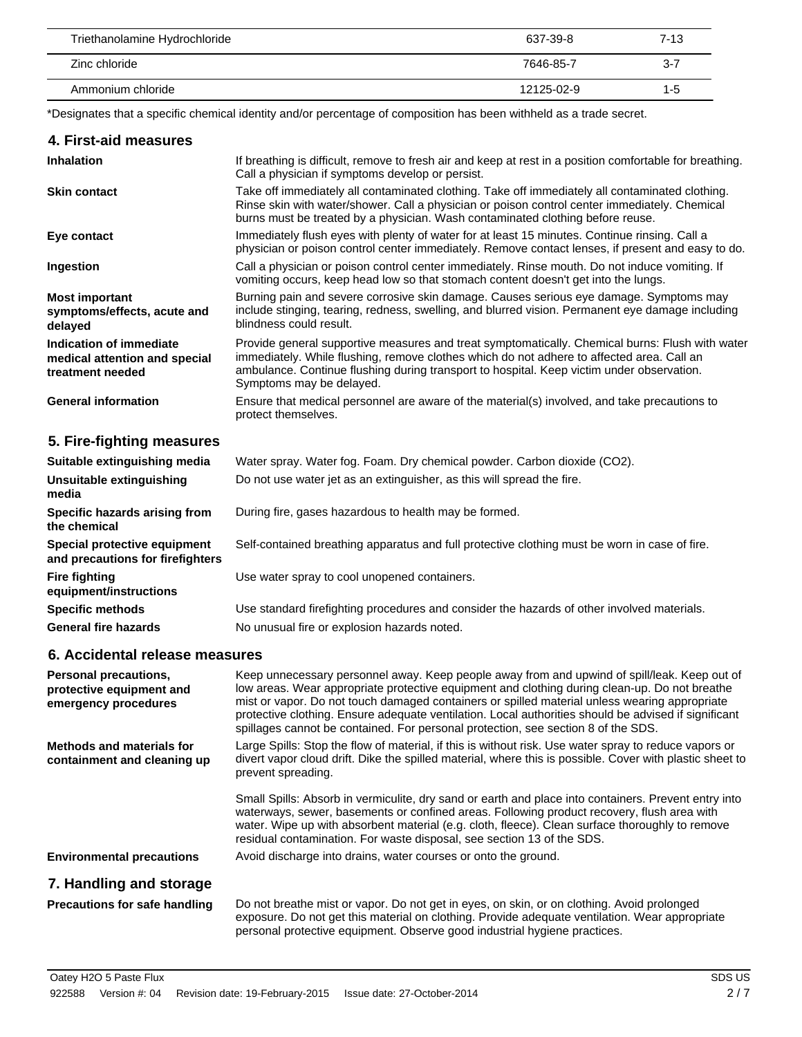| Triethanolamine Hydrochloride | 637-39-8   | $7 - 13$ |
|-------------------------------|------------|----------|
| Zinc chloride                 | 7646-85-7  | $3 - 7$  |
| Ammonium chloride             | 12125-02-9 | $1 - 5$  |

\*Designates that a specific chemical identity and/or percentage of composition has been withheld as a trade secret.

#### **4. First-aid measures**

 $\overline{\phantom{a}}$ 

| <b>Inhalation</b>                                                            | If breathing is difficult, remove to fresh air and keep at rest in a position comfortable for breathing.<br>Call a physician if symptoms develop or persist.                                                                                                                                                          |
|------------------------------------------------------------------------------|-----------------------------------------------------------------------------------------------------------------------------------------------------------------------------------------------------------------------------------------------------------------------------------------------------------------------|
| <b>Skin contact</b>                                                          | Take off immediately all contaminated clothing. Take off immediately all contaminated clothing.<br>Rinse skin with water/shower. Call a physician or poison control center immediately. Chemical<br>burns must be treated by a physician. Wash contaminated clothing before reuse.                                    |
| Eye contact                                                                  | Immediately flush eyes with plenty of water for at least 15 minutes. Continue rinsing. Call a<br>physician or poison control center immediately. Remove contact lenses, if present and easy to do.                                                                                                                    |
| Ingestion                                                                    | Call a physician or poison control center immediately. Rinse mouth. Do not induce vomiting. If<br>vomiting occurs, keep head low so that stomach content doesn't get into the lungs.                                                                                                                                  |
| <b>Most important</b><br>symptoms/effects, acute and<br>delayed              | Burning pain and severe corrosive skin damage. Causes serious eye damage. Symptoms may<br>include stinging, tearing, redness, swelling, and blurred vision. Permanent eye damage including<br>blindness could result.                                                                                                 |
| Indication of immediate<br>medical attention and special<br>treatment needed | Provide general supportive measures and treat symptomatically. Chemical burns: Flush with water<br>immediately. While flushing, remove clothes which do not adhere to affected area. Call an<br>ambulance. Continue flushing during transport to hospital. Keep victim under observation.<br>Symptoms may be delayed. |
| <b>General information</b>                                                   | Ensure that medical personnel are aware of the material(s) involved, and take precautions to<br>protect themselves.                                                                                                                                                                                                   |

### **5. Fire-fighting measures**

| Suitable extinguishing media                                     | Water spray. Water fog. Foam. Dry chemical powder. Carbon dioxide (CO2).                      |
|------------------------------------------------------------------|-----------------------------------------------------------------------------------------------|
| Unsuitable extinguishing<br>media                                | Do not use water jet as an extinguisher, as this will spread the fire.                        |
| Specific hazards arising from<br>the chemical                    | During fire, gases hazardous to health may be formed.                                         |
| Special protective equipment<br>and precautions for firefighters | Self-contained breathing apparatus and full protective clothing must be worn in case of fire. |
| <b>Fire fighting</b><br>equipment/instructions                   | Use water spray to cool unopened containers.                                                  |
| <b>Specific methods</b>                                          | Use standard firefighting procedures and consider the hazards of other involved materials.    |
| <b>General fire hazards</b>                                      | No unusual fire or explosion hazards noted.                                                   |

### **6. Accidental release measures**

| Personal precautions,<br>protective equipment and<br>emergency procedures | Keep unnecessary personnel away. Keep people away from and upwind of spill/leak. Keep out of<br>low areas. Wear appropriate protective equipment and clothing during clean-up. Do not breathe<br>mist or vapor. Do not touch damaged containers or spilled material unless wearing appropriate<br>protective clothing. Ensure adequate ventilation. Local authorities should be advised if significant<br>spillages cannot be contained. For personal protection, see section 8 of the SDS. |
|---------------------------------------------------------------------------|---------------------------------------------------------------------------------------------------------------------------------------------------------------------------------------------------------------------------------------------------------------------------------------------------------------------------------------------------------------------------------------------------------------------------------------------------------------------------------------------|
| Methods and materials for<br>containment and cleaning up                  | Large Spills: Stop the flow of material, if this is without risk. Use water spray to reduce vapors or<br>divert vapor cloud drift. Dike the spilled material, where this is possible. Cover with plastic sheet to<br>prevent spreading.                                                                                                                                                                                                                                                     |
|                                                                           | Small Spills: Absorb in vermiculite, dry sand or earth and place into containers. Prevent entry into<br>waterways, sewer, basements or confined areas. Following product recovery, flush area with<br>water. Wipe up with absorbent material (e.g. cloth, fleece). Clean surface thoroughly to remove<br>residual contamination. For waste disposal, see section 13 of the SDS.                                                                                                             |
| <b>Environmental precautions</b>                                          | Avoid discharge into drains, water courses or onto the ground.                                                                                                                                                                                                                                                                                                                                                                                                                              |
| 7. Handling and storage                                                   |                                                                                                                                                                                                                                                                                                                                                                                                                                                                                             |
| <b>Precautions for safe handling</b>                                      | Do not breathe mist or vapor. Do not get in eyes, on skin, or on clothing. Avoid prolonged<br>exposure. Do not get this material on clothing. Provide adequate ventilation. Wear appropriate                                                                                                                                                                                                                                                                                                |

personal protective equipment. Observe good industrial hygiene practices.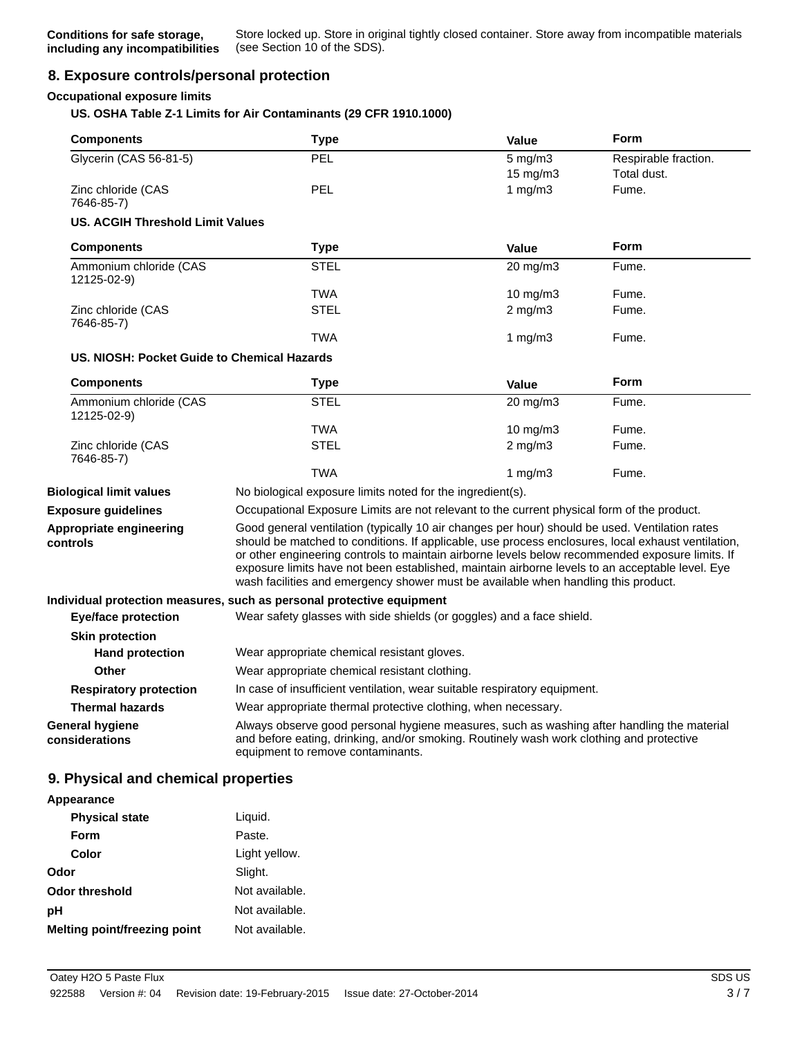### **8. Exposure controls/personal protection**

#### **Occupational exposure limits**

#### **US. OSHA Table Z-1 Limits for Air Contaminants (29 CFR 1910.1000)**

| <b>Components</b>                           | <b>Type</b>                                                                                                                                                                                                                                                                                                                                                                                                                                                                                      | Value                                                                     | <b>Form</b>          |
|---------------------------------------------|--------------------------------------------------------------------------------------------------------------------------------------------------------------------------------------------------------------------------------------------------------------------------------------------------------------------------------------------------------------------------------------------------------------------------------------------------------------------------------------------------|---------------------------------------------------------------------------|----------------------|
| Glycerin (CAS 56-81-5)                      | PEL                                                                                                                                                                                                                                                                                                                                                                                                                                                                                              | $5$ mg/m $3$                                                              | Respirable fraction. |
|                                             |                                                                                                                                                                                                                                                                                                                                                                                                                                                                                                  | 15 mg/m3                                                                  | Total dust.          |
| Zinc chloride (CAS<br>7646-85-7)            | PEL                                                                                                                                                                                                                                                                                                                                                                                                                                                                                              | 1 $mg/m3$                                                                 | Fume.                |
| US. ACGIH Threshold Limit Values            |                                                                                                                                                                                                                                                                                                                                                                                                                                                                                                  |                                                                           |                      |
| <b>Components</b>                           | <b>Type</b>                                                                                                                                                                                                                                                                                                                                                                                                                                                                                      | Value                                                                     | <b>Form</b>          |
| Ammonium chloride (CAS<br>12125-02-9)       | <b>STEL</b>                                                                                                                                                                                                                                                                                                                                                                                                                                                                                      | 20 mg/m3                                                                  | Fume.                |
|                                             | TWA                                                                                                                                                                                                                                                                                                                                                                                                                                                                                              | 10 mg/m $3$                                                               | Fume.                |
| Zinc chloride (CAS<br>7646-85-7)            | <b>STEL</b>                                                                                                                                                                                                                                                                                                                                                                                                                                                                                      | $2$ mg/m $3$                                                              | Fume.                |
|                                             | <b>TWA</b>                                                                                                                                                                                                                                                                                                                                                                                                                                                                                       | 1 mg/m $3$                                                                | Fume.                |
| US. NIOSH: Pocket Guide to Chemical Hazards |                                                                                                                                                                                                                                                                                                                                                                                                                                                                                                  |                                                                           |                      |
| <b>Components</b>                           | <b>Type</b>                                                                                                                                                                                                                                                                                                                                                                                                                                                                                      | <b>Value</b>                                                              | Form                 |
| Ammonium chloride (CAS<br>12125-02-9)       | <b>STEL</b>                                                                                                                                                                                                                                                                                                                                                                                                                                                                                      | 20 mg/m3                                                                  | Fume.                |
|                                             | <b>TWA</b>                                                                                                                                                                                                                                                                                                                                                                                                                                                                                       | 10 mg/m3                                                                  | Fume.                |
| Zinc chloride (CAS<br>7646-85-7)            | <b>STEL</b>                                                                                                                                                                                                                                                                                                                                                                                                                                                                                      | $2 \text{ mg/m}$                                                          | Fume.                |
|                                             | <b>TWA</b>                                                                                                                                                                                                                                                                                                                                                                                                                                                                                       | 1 $mg/m3$                                                                 | Fume.                |
| <b>Biological limit values</b>              | No biological exposure limits noted for the ingredient(s).                                                                                                                                                                                                                                                                                                                                                                                                                                       |                                                                           |                      |
| <b>Exposure guidelines</b>                  | Occupational Exposure Limits are not relevant to the current physical form of the product.                                                                                                                                                                                                                                                                                                                                                                                                       |                                                                           |                      |
| Appropriate engineering<br>controls         | Good general ventilation (typically 10 air changes per hour) should be used. Ventilation rates<br>should be matched to conditions. If applicable, use process enclosures, local exhaust ventilation,<br>or other engineering controls to maintain airborne levels below recommended exposure limits. If<br>exposure limits have not been established, maintain airborne levels to an acceptable level. Eye<br>wash facilities and emergency shower must be available when handling this product. |                                                                           |                      |
|                                             | Individual protection measures, such as personal protective equipment                                                                                                                                                                                                                                                                                                                                                                                                                            |                                                                           |                      |
| <b>Eye/face protection</b>                  | Wear safety glasses with side shields (or goggles) and a face shield.                                                                                                                                                                                                                                                                                                                                                                                                                            |                                                                           |                      |
| <b>Skin protection</b>                      |                                                                                                                                                                                                                                                                                                                                                                                                                                                                                                  |                                                                           |                      |
| <b>Hand protection</b>                      | Wear appropriate chemical resistant gloves.                                                                                                                                                                                                                                                                                                                                                                                                                                                      |                                                                           |                      |
| Other                                       | Wear appropriate chemical resistant clothing.                                                                                                                                                                                                                                                                                                                                                                                                                                                    |                                                                           |                      |
| <b>Respiratory protection</b>               |                                                                                                                                                                                                                                                                                                                                                                                                                                                                                                  | In case of insufficient ventilation, wear suitable respiratory equipment. |                      |
| <b>Thermal hazards</b>                      | Wear appropriate thermal protective clothing, when necessary.                                                                                                                                                                                                                                                                                                                                                                                                                                    |                                                                           |                      |
| General hygiene<br>considerations           | Always observe good personal hygiene measures, such as washing after handling the material<br>and before eating, drinking, and/or smoking. Routinely wash work clothing and protective<br>equipment to remove contaminants.                                                                                                                                                                                                                                                                      |                                                                           |                      |

| <b>Appearance</b>            |                |
|------------------------------|----------------|
| <b>Physical state</b>        | Liquid.        |
| Form                         | Paste.         |
| Color                        | Light yellow.  |
| Odor                         | Slight.        |
| <b>Odor threshold</b>        | Not available. |
| рH                           | Not available. |
| Melting point/freezing point | Not available. |

**Appearance**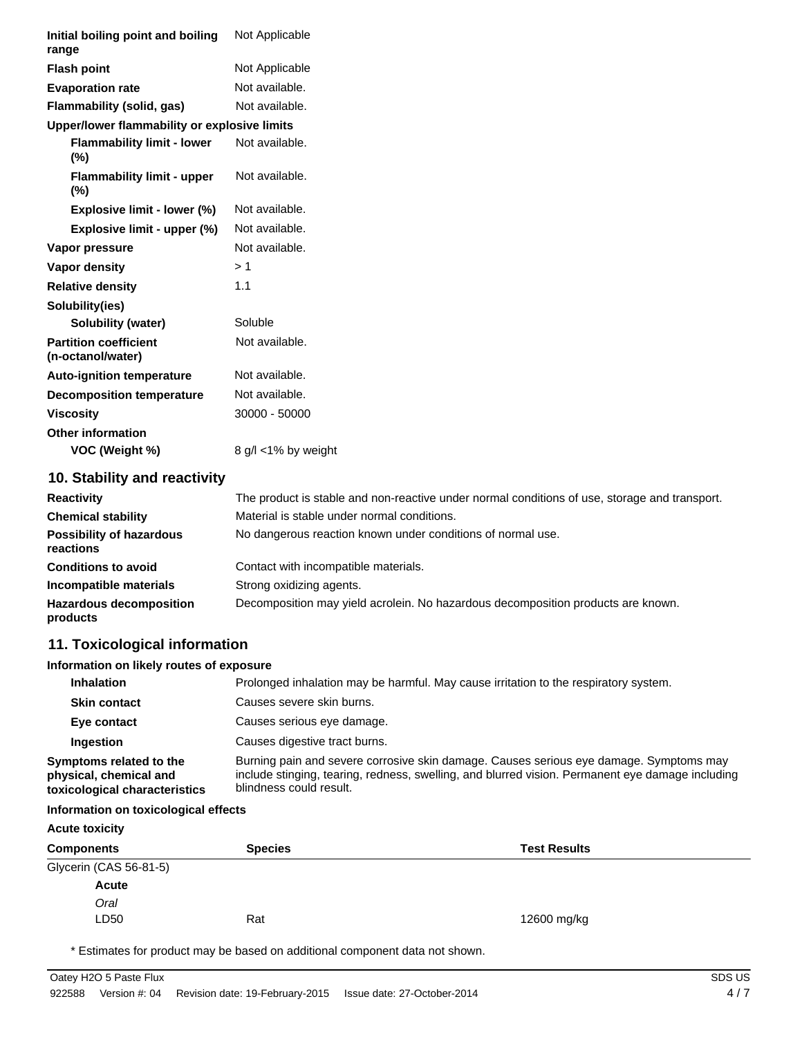| Initial boiling point and boiling<br>range        | Not Applicable                                                                                |
|---------------------------------------------------|-----------------------------------------------------------------------------------------------|
| <b>Flash point</b>                                | Not Applicable                                                                                |
| <b>Evaporation rate</b>                           | Not available.                                                                                |
| Flammability (solid, gas)                         | Not available.                                                                                |
| Upper/lower flammability or explosive limits      |                                                                                               |
| <b>Flammability limit - lower</b><br>(%)          | Not available.                                                                                |
| <b>Flammability limit - upper</b><br>(%)          | Not available.                                                                                |
| Explosive limit - lower (%)                       | Not available.                                                                                |
| Explosive limit - upper (%)                       | Not available.                                                                                |
| Vapor pressure                                    | Not available.                                                                                |
| Vapor density                                     | >1                                                                                            |
| <b>Relative density</b>                           | 1.1                                                                                           |
| Solubility(ies)                                   |                                                                                               |
| <b>Solubility (water)</b>                         | Soluble                                                                                       |
| <b>Partition coefficient</b><br>(n-octanol/water) | Not available.                                                                                |
| <b>Auto-ignition temperature</b>                  | Not available.                                                                                |
| <b>Decomposition temperature</b>                  | Not available.                                                                                |
| <b>Viscosity</b>                                  | 30000 - 50000                                                                                 |
| <b>Other information</b>                          |                                                                                               |
| VOC (Weight %)                                    | 8 g/l <1% by weight                                                                           |
| 10. Stability and reactivity                      |                                                                                               |
| <b>Reactivity</b>                                 | The product is stable and non-reactive under normal conditions of use, storage and transport. |
| <b>Chemical stability</b>                         | Material is stable under normal conditions.                                                   |
| <b>Possibility of hazardous</b><br>reactions      | No dangerous reaction known under conditions of normal use.                                   |
| <b>Conditions to avoid</b>                        | Contact with incompatible materials.                                                          |
| Incompatible materials                            | Strong oxidizing agents.                                                                      |
| <b>Hazardous decomposition</b><br>products        | Decomposition may yield acrolein. No hazardous decomposition products are known.              |
| 11. Toxicological information                     |                                                                                               |

#### **Information on likely routes of exposure**

| <b>Inhalation</b>                                                                  | Prolonged inhalation may be harmful. May cause irritation to the respiratory system.                                                                                                                                  |
|------------------------------------------------------------------------------------|-----------------------------------------------------------------------------------------------------------------------------------------------------------------------------------------------------------------------|
| <b>Skin contact</b>                                                                | Causes severe skin burns.                                                                                                                                                                                             |
| Eye contact                                                                        | Causes serious eye damage.                                                                                                                                                                                            |
| Ingestion                                                                          | Causes digestive tract burns.                                                                                                                                                                                         |
| Symptoms related to the<br>physical, chemical and<br>toxicological characteristics | Burning pain and severe corrosive skin damage. Causes serious eye damage. Symptoms may<br>include stinging, tearing, redness, swelling, and blurred vision. Permanent eye damage including<br>blindness could result. |

#### **Information on toxicological effects**

### **Acute toxicity Components Species Test Results** Glycerin (CAS 56-81-5) LD50 Rat *Oral* **Acute** 12600 mg/kg

\* Estimates for product may be based on additional component data not shown.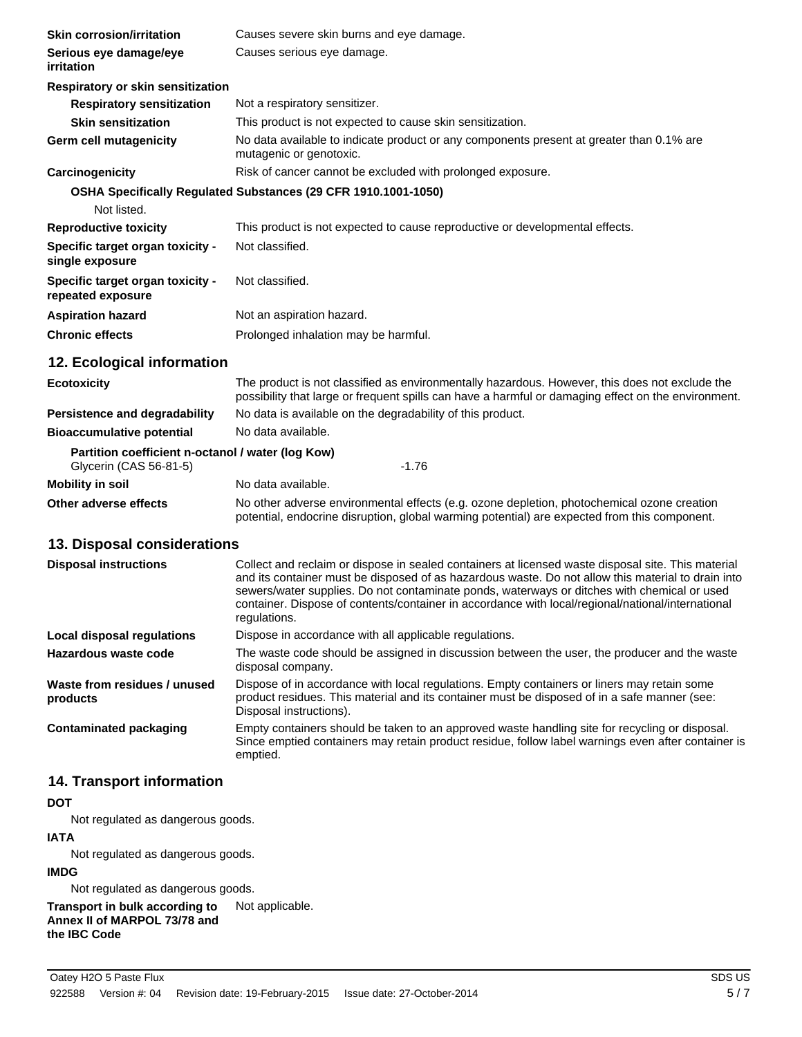| <b>Skin corrosion/irritation</b>                                            | Causes severe skin burns and eye damage.                                                                                                                                                              |  |  |
|-----------------------------------------------------------------------------|-------------------------------------------------------------------------------------------------------------------------------------------------------------------------------------------------------|--|--|
| Serious eye damage/eye<br>irritation                                        | Causes serious eye damage.                                                                                                                                                                            |  |  |
| <b>Respiratory or skin sensitization</b>                                    |                                                                                                                                                                                                       |  |  |
| <b>Respiratory sensitization</b>                                            | Not a respiratory sensitizer.                                                                                                                                                                         |  |  |
| <b>Skin sensitization</b>                                                   | This product is not expected to cause skin sensitization.                                                                                                                                             |  |  |
| <b>Germ cell mutagenicity</b>                                               | No data available to indicate product or any components present at greater than 0.1% are<br>mutagenic or genotoxic.                                                                                   |  |  |
| Carcinogenicity                                                             | Risk of cancer cannot be excluded with prolonged exposure.                                                                                                                                            |  |  |
|                                                                             | OSHA Specifically Regulated Substances (29 CFR 1910.1001-1050)                                                                                                                                        |  |  |
| Not listed.                                                                 |                                                                                                                                                                                                       |  |  |
| <b>Reproductive toxicity</b>                                                | This product is not expected to cause reproductive or developmental effects.                                                                                                                          |  |  |
| Specific target organ toxicity -<br>single exposure                         | Not classified.                                                                                                                                                                                       |  |  |
| Specific target organ toxicity -<br>repeated exposure                       | Not classified.                                                                                                                                                                                       |  |  |
| <b>Aspiration hazard</b>                                                    | Not an aspiration hazard.                                                                                                                                                                             |  |  |
| <b>Chronic effects</b>                                                      | Prolonged inhalation may be harmful.                                                                                                                                                                  |  |  |
| 12. Ecological information                                                  |                                                                                                                                                                                                       |  |  |
| <b>Ecotoxicity</b>                                                          | The product is not classified as environmentally hazardous. However, this does not exclude the<br>possibility that large or frequent spills can have a harmful or damaging effect on the environment. |  |  |
| <b>Persistence and degradability</b>                                        | No data is available on the degradability of this product.                                                                                                                                            |  |  |
| <b>Bioaccumulative potential</b>                                            | No data available.                                                                                                                                                                                    |  |  |
| Partition coefficient n-octanol / water (log Kow)<br>Glycerin (CAS 56-81-5) | $-1.76$                                                                                                                                                                                               |  |  |
| <b>Mobility in soil</b>                                                     | No data available.                                                                                                                                                                                    |  |  |
| Other adverse effects                                                       | No other adverse environmental effects (e.g. ozone depletion, photochemical ozone creation<br>potential, endocrine disruption, global warming potential) are expected from this component.            |  |  |

### **13. Disposal considerations**

| <b>Disposal instructions</b>             | Collect and reclaim or dispose in sealed containers at licensed waste disposal site. This material<br>and its container must be disposed of as hazardous waste. Do not allow this material to drain into<br>sewers/water supplies. Do not contaminate ponds, waterways or ditches with chemical or used<br>container. Dispose of contents/container in accordance with local/regional/national/international<br>regulations. |
|------------------------------------------|------------------------------------------------------------------------------------------------------------------------------------------------------------------------------------------------------------------------------------------------------------------------------------------------------------------------------------------------------------------------------------------------------------------------------|
| Local disposal regulations               | Dispose in accordance with all applicable regulations.                                                                                                                                                                                                                                                                                                                                                                       |
| Hazardous waste code                     | The waste code should be assigned in discussion between the user, the producer and the waste<br>disposal company.                                                                                                                                                                                                                                                                                                            |
| Waste from residues / unused<br>products | Dispose of in accordance with local regulations. Empty containers or liners may retain some<br>product residues. This material and its container must be disposed of in a safe manner (see:<br>Disposal instructions).                                                                                                                                                                                                       |
| <b>Contaminated packaging</b>            | Empty containers should be taken to an approved waste handling site for recycling or disposal.<br>Since emptied containers may retain product residue, follow label warnings even after container is<br>emptied.                                                                                                                                                                                                             |

### **14. Transport information**

#### **DOT**

Not regulated as dangerous goods.

#### **IATA**

Not regulated as dangerous goods.

#### **IMDG**

Not regulated as dangerous goods.

#### **Transport in bulk according to** Not applicable. **Annex II of MARPOL 73/78 and the IBC Code**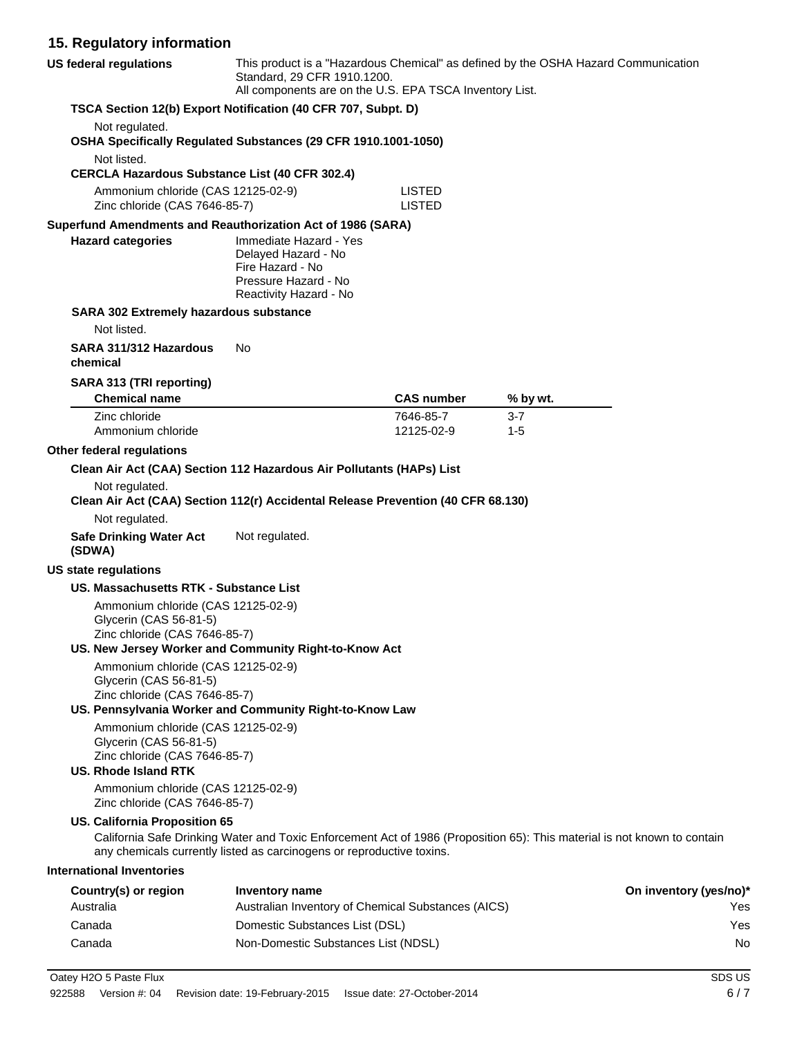## **15. Regulatory information**

| <b>US federal regulations</b>            |                                                                                               | This product is a "Hazardous Chemical" as defined by the OSHA Hazard Communication<br>Standard, 29 CFR 1910.1200.<br>All components are on the U.S. EPA TSCA Inventory List.                      |                         |                    |                        |
|------------------------------------------|-----------------------------------------------------------------------------------------------|---------------------------------------------------------------------------------------------------------------------------------------------------------------------------------------------------|-------------------------|--------------------|------------------------|
|                                          |                                                                                               | TSCA Section 12(b) Export Notification (40 CFR 707, Subpt. D)                                                                                                                                     |                         |                    |                        |
| Not regulated.<br>Not listed.            |                                                                                               | OSHA Specifically Regulated Substances (29 CFR 1910.1001-1050)                                                                                                                                    |                         |                    |                        |
|                                          |                                                                                               | <b>CERCLA Hazardous Substance List (40 CFR 302.4)</b>                                                                                                                                             |                         |                    |                        |
|                                          | Ammonium chloride (CAS 12125-02-9)                                                            |                                                                                                                                                                                                   | LISTED                  |                    |                        |
|                                          | Zinc chloride (CAS 7646-85-7)                                                                 |                                                                                                                                                                                                   | <b>LISTED</b>           |                    |                        |
| <b>Hazard categories</b>                 |                                                                                               | Superfund Amendments and Reauthorization Act of 1986 (SARA)<br>Immediate Hazard - Yes<br>Delayed Hazard - No<br>Fire Hazard - No<br>Pressure Hazard - No<br>Reactivity Hazard - No                |                         |                    |                        |
|                                          | SARA 302 Extremely hazardous substance                                                        |                                                                                                                                                                                                   |                         |                    |                        |
| Not listed.                              |                                                                                               |                                                                                                                                                                                                   |                         |                    |                        |
| chemical                                 | SARA 311/312 Hazardous                                                                        | No.                                                                                                                                                                                               |                         |                    |                        |
|                                          | SARA 313 (TRI reporting)                                                                      |                                                                                                                                                                                                   |                         |                    |                        |
| <b>Chemical name</b>                     |                                                                                               |                                                                                                                                                                                                   | <b>CAS number</b>       | % by wt.           |                        |
| Zinc chloride                            | Ammonium chloride                                                                             |                                                                                                                                                                                                   | 7646-85-7<br>12125-02-9 | $3 - 7$<br>$1 - 5$ |                        |
| Other federal regulations                |                                                                                               |                                                                                                                                                                                                   |                         |                    |                        |
|                                          |                                                                                               | Clean Air Act (CAA) Section 112 Hazardous Air Pollutants (HAPs) List                                                                                                                              |                         |                    |                        |
| Not regulated.                           |                                                                                               | Clean Air Act (CAA) Section 112(r) Accidental Release Prevention (40 CFR 68.130)                                                                                                                  |                         |                    |                        |
| Not regulated.                           |                                                                                               |                                                                                                                                                                                                   |                         |                    |                        |
| <b>Safe Drinking Water Act</b><br>(SDWA) |                                                                                               | Not regulated.                                                                                                                                                                                    |                         |                    |                        |
| <b>US state regulations</b>              |                                                                                               |                                                                                                                                                                                                   |                         |                    |                        |
|                                          | US. Massachusetts RTK - Substance List                                                        |                                                                                                                                                                                                   |                         |                    |                        |
|                                          | Ammonium chloride (CAS 12125-02-9)<br>Glycerin (CAS 56-81-5)<br>Zinc chloride (CAS 7646-85-7) |                                                                                                                                                                                                   |                         |                    |                        |
|                                          |                                                                                               | US. New Jersey Worker and Community Right-to-Know Act                                                                                                                                             |                         |                    |                        |
|                                          | Ammonium chloride (CAS 12125-02-9)<br>Glycerin (CAS 56-81-5)<br>Zinc chloride (CAS 7646-85-7) |                                                                                                                                                                                                   |                         |                    |                        |
|                                          |                                                                                               | US. Pennsylvania Worker and Community Right-to-Know Law                                                                                                                                           |                         |                    |                        |
| <b>US. Rhode Island RTK</b>              | Ammonium chloride (CAS 12125-02-9)<br>Glycerin (CAS 56-81-5)<br>Zinc chloride (CAS 7646-85-7) |                                                                                                                                                                                                   |                         |                    |                        |
|                                          | Ammonium chloride (CAS 12125-02-9)<br>Zinc chloride (CAS 7646-85-7)                           |                                                                                                                                                                                                   |                         |                    |                        |
|                                          | <b>US. California Proposition 65</b>                                                          | California Safe Drinking Water and Toxic Enforcement Act of 1986 (Proposition 65): This material is not known to contain<br>any chemicals currently listed as carcinogens or reproductive toxins. |                         |                    |                        |
| <b>International Inventories</b>         |                                                                                               |                                                                                                                                                                                                   |                         |                    |                        |
| Country(s) or region                     |                                                                                               | <b>Inventory name</b>                                                                                                                                                                             |                         |                    | On inventory (yes/no)* |
| Australia                                |                                                                                               | Australian Inventory of Chemical Substances (AICS)                                                                                                                                                |                         |                    | Yes                    |
| Canada                                   |                                                                                               | Domestic Substances List (DSL)                                                                                                                                                                    |                         |                    | Yes                    |
| Canada                                   |                                                                                               | Non-Domestic Substances List (NDSL)                                                                                                                                                               |                         |                    | No                     |